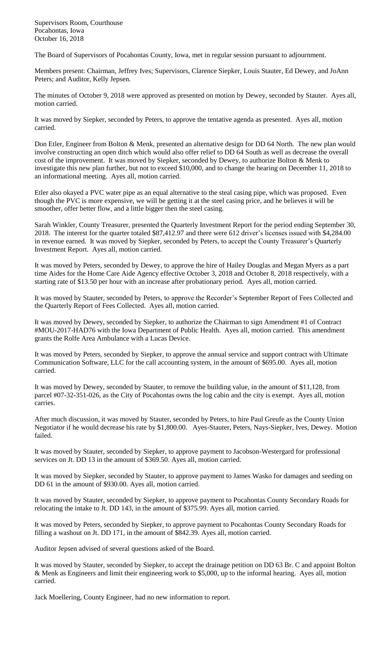Supervisors Room, Courthouse Pocahontas, Iowa October 16, 2018

The Board of Supervisors of Pocahontas County, Iowa, met in regular session pursuant to adjournment.

Members present: Chairman, Jeffrey Ives; Supervisors, Clarence Siepker, Louis Stauter, Ed Dewey, and JoAnn Peters; and Auditor, Kelly Jepsen.

The minutes of October 9, 2018 were approved as presented on motion by Dewey, seconded by Stauter. Ayes all, motion carried.

It was moved by Siepker, seconded by Peters, to approve the tentative agenda as presented. Ayes all, motion carried.

Don Etler, Engineer from Bolton & Menk, presented an alternative design for DD 64 North. The new plan would involve constructing an open ditch which would also offer relief to DD 64 South as well as decrease the overall cost of the improvement. It was moved by Siepker, seconded by Dewey, to authorize Bolton & Menk to investigate this new plan further, but not to exceed \$10,000, and to change the hearing on December 11, 2018 to an informational meeting. Ayes all, motion carried.

Etler also okayed a PVC water pipe as an equal alternative to the steal casing pipe, which was proposed. Even though the PVC is more expensive, we will be getting it at the steel casing price, and he believes it will be smoother, offer better flow, and a little bigger then the steel casing.

Sarah Winkler, County Treasurer, presented the Quarterly Investment Report for the period ending September 30, 2018. The interest for the quarter totaled \$87,412.97 and there were 612 driver's licenses issued with \$4,284.00 in revenue earned. It was moved by Siepker, seconded by Peters, to accept the County Treasurer's Quarterly Investment Report. Ayes all, motion carried.

It was moved by Peters, seconded by Dewey, to approve the hire of Hailey Douglas and Megan Myers as a part time Aides for the Home Care Aide Agency effective October 3, 2018 and October 8, 2018 respectively, with a starting rate of \$13.50 per hour with an increase after probationary period. Ayes all, motion carried.

It was moved by Stauter, seconded by Peters, to approve the Recorder's September Report of Fees Collected and the Quarterly Report of Fees Collected. Ayes all, motion carried.

It was moved by Dewey, seconded by Siepker, to authorize the Chairman to sign Amendment #1 of Contract #MOU-2017-HAD76 with the Iowa Department of Public Health. Ayes all, motion carried. This amendment grants the Rolfe Area Ambulance with a Lucas Device.

It was moved by Peters, seconded by Siepker, to approve the annual service and support contract with Ultimate Communication Software, LLC for the call accounting system, in the amount of \$695.00. Ayes all, motion carried.

It was moved by Dewey, seconded by Stauter, to remove the building value, in the amount of \$11,128, from parcel #07-32-351-026, as the City of Pocahontas owns the log cabin and the city is exempt. Ayes all, motion carries.

After much discussion, it was moved by Stauter, seconded by Peters, to hire Paul Greufe as the County Union Negotiator if he would decrease his rate by \$1,800.00. Ayes-Stauter, Peters, Nays-Siepker, Ives, Dewey. Motion failed.

It was moved by Stauter, seconded by Siepker, to approve payment to Jacobson-Westergard for professional services on Jt. DD 13 in the amount of \$369.50. Ayes all, motion carried.

It was moved by Siepker, seconded by Stauter, to approve payment to James Wasko for damages and seeding on DD 61 in the amount of \$930.00. Ayes all, motion carried.

It was moved by Stauter, seconded by Siepker, to approve payment to Pocahontas County Secondary Roads for relocating the intake to Jt. DD 143, in the amount of \$375.99. Ayes all, motion carried.

It was moved by Peters, seconded by Siepker, to approve payment to Pocahontas County Secondary Roads for filling a washout on Jt. DD 171, in the amount of \$842.39. Ayes all, motion carried.

Auditor Jepsen advised of several questions asked of the Board.

It was moved by Stauter, seconded by Siepker, to accept the drainage petition on DD 63 Br. C and appoint Bolton & Menk as Engineers and limit their engineering work to \$5,000, up to the informal hearing. Ayes all, motion carried.

Jack Moellering, County Engineer, had no new information to report.